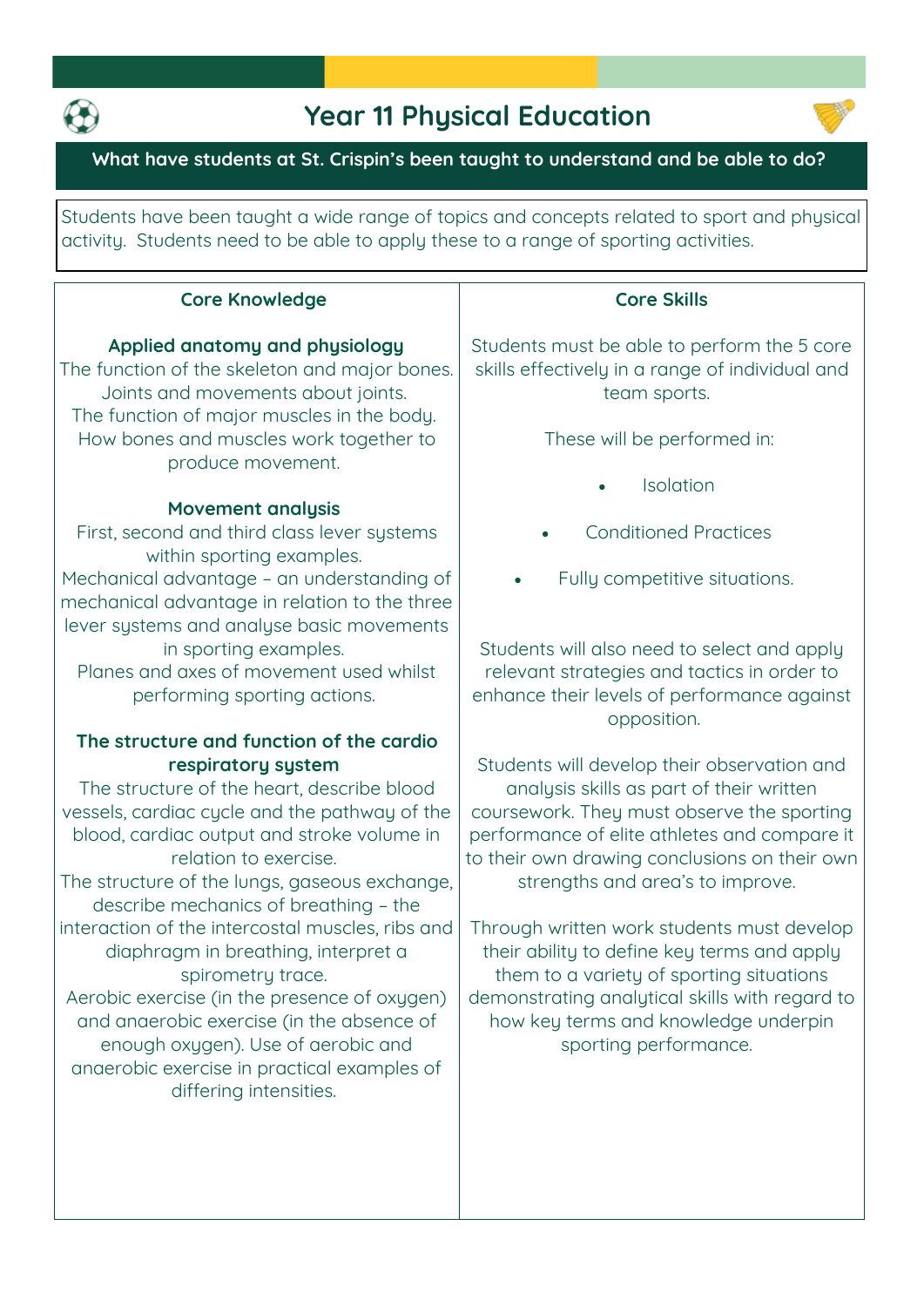

# **Year 11 Physical Education**



## **What have students at St. Crispin's been taught to understand and be able to do?**

**Students have been taught a wide range of topics and concepts related to sport and physical activity. Students need to be able to apply these to a range of sporting activities.**

### **Core Knowledge**

#### **Applied anatomy and physiology**

**The function of the skeleton and major bones. Joints and movements about joints. The function of major muscles in the body. How bones and muscles work together to produce movement.**

#### **Movement analysis**

**First, second and third class lever systems within sporting examples. Mechanical advantage – an understanding of mechanical advantage in relation to the three lever systems and analyse basic movements in sporting examples. Planes and axes of movement used whilst** 

**performing sporting actions.**

# **The structure and function of the cardio respiratory system**

**The structure of the heart, describe blood vessels, cardiac cycle and the pathway of the blood, cardiac output and stroke volume in relation to exercise.**

**The structure of the lungs, gaseous exchange, describe mechanics of breathing – the interaction of the intercostal muscles, ribs and diaphragm in breathing, interpret a spirometry trace.**

**Aerobic exercise (in the presence of oxygen) and anaerobic exercise (in the absence of enough oxygen). Use of aerobic and anaerobic exercise in practical examples of differing intensities.**

## **Core Skills**

**Students must be able to perform the 5 core skills effectively in a range of individual and team sports.** 

**These will be performed in:**

- **Isolation**
- **Conditioned Practices**
- **Fully competitive situations.**

**Students will also need to select and apply relevant strategies and tactics in order to enhance their levels of performance against opposition.** 

**Students will develop their observation and analysis skills as part of their written coursework. They must observe the sporting performance of elite athletes and compare it to their own drawing conclusions on their own strengths and area's to improve.** 

**Through written work students must develop their ability to define key terms and apply them to a variety of sporting situations demonstrating analytical skills with regard to how key terms and knowledge underpin sporting performance.**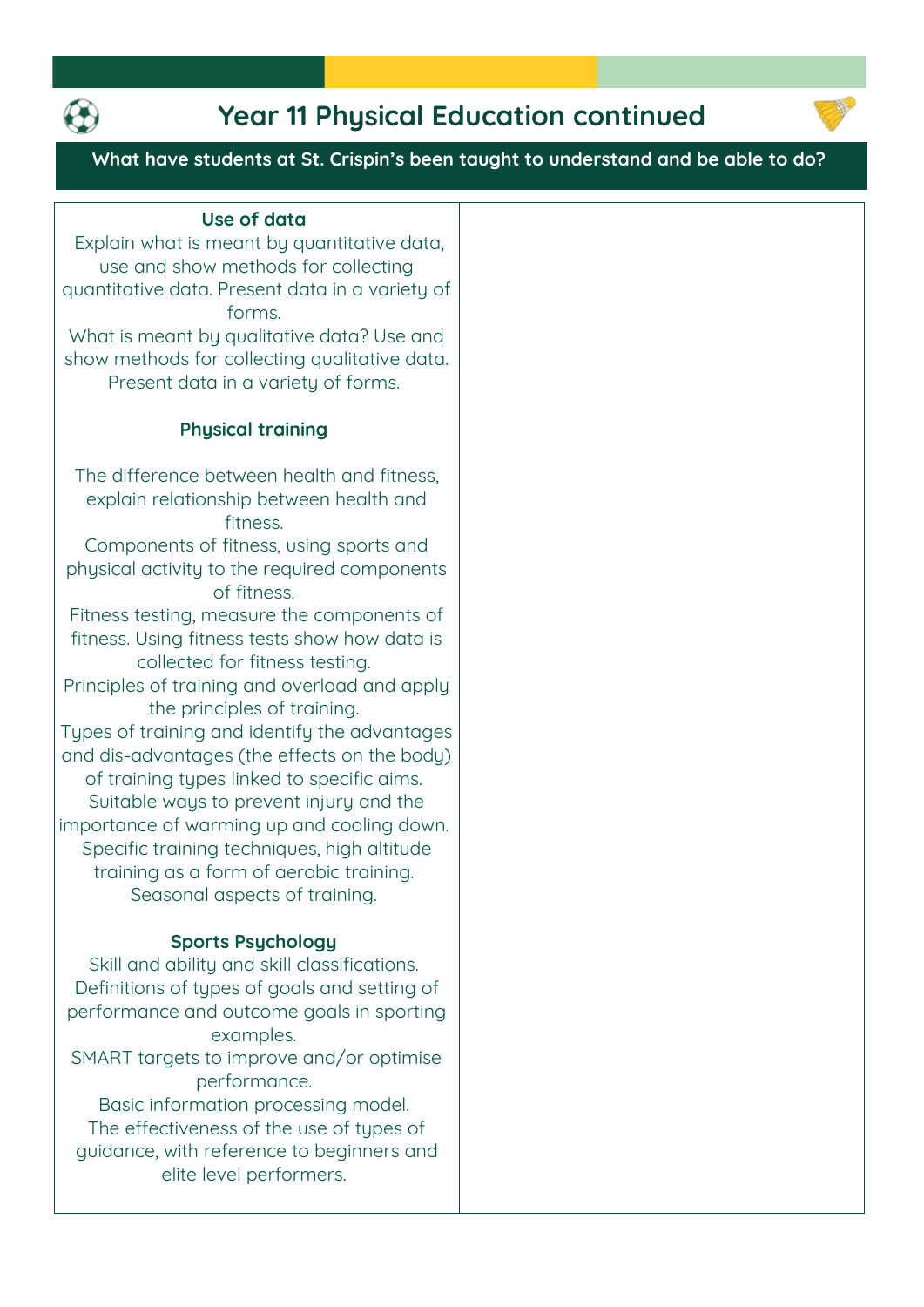

# **Year 11 Physical Education continued**



**What have students at St. Crispin's been taught to understand and be able to do?**

#### **Use of data**

**Explain what is meant by quantitative data, use and show methods for collecting quantitative data. Present data in a variety of forms.**

**What is meant by qualitative data? Use and show methods for collecting qualitative data. Present data in a variety of forms.**

#### **Physical training**

**The difference between health and fitness, explain relationship between health and fitness.**

**Components of fitness, using sports and physical activity to the required components of fitness.**

**Fitness testing, measure the components of fitness. Using fitness tests show how data is collected for fitness testing. Principles of training and overload and apply the principles of training. Types of training and identify the advantages and dis-advantages (the effects on the body) of training types linked to specific aims. Suitable ways to prevent injury and the importance of warming up and cooling down. Specific training techniques, high altitude training as a form of aerobic training.**

**Seasonal aspects of training.**

#### **Sports Psychology**

**Skill and ability and skill classifications. Definitions of types of goals and setting of performance and outcome goals in sporting examples. SMART targets to improve and/or optimise performance. Basic information processing model. The effectiveness of the use of types of** 

**guidance, with reference to beginners and elite level performers.**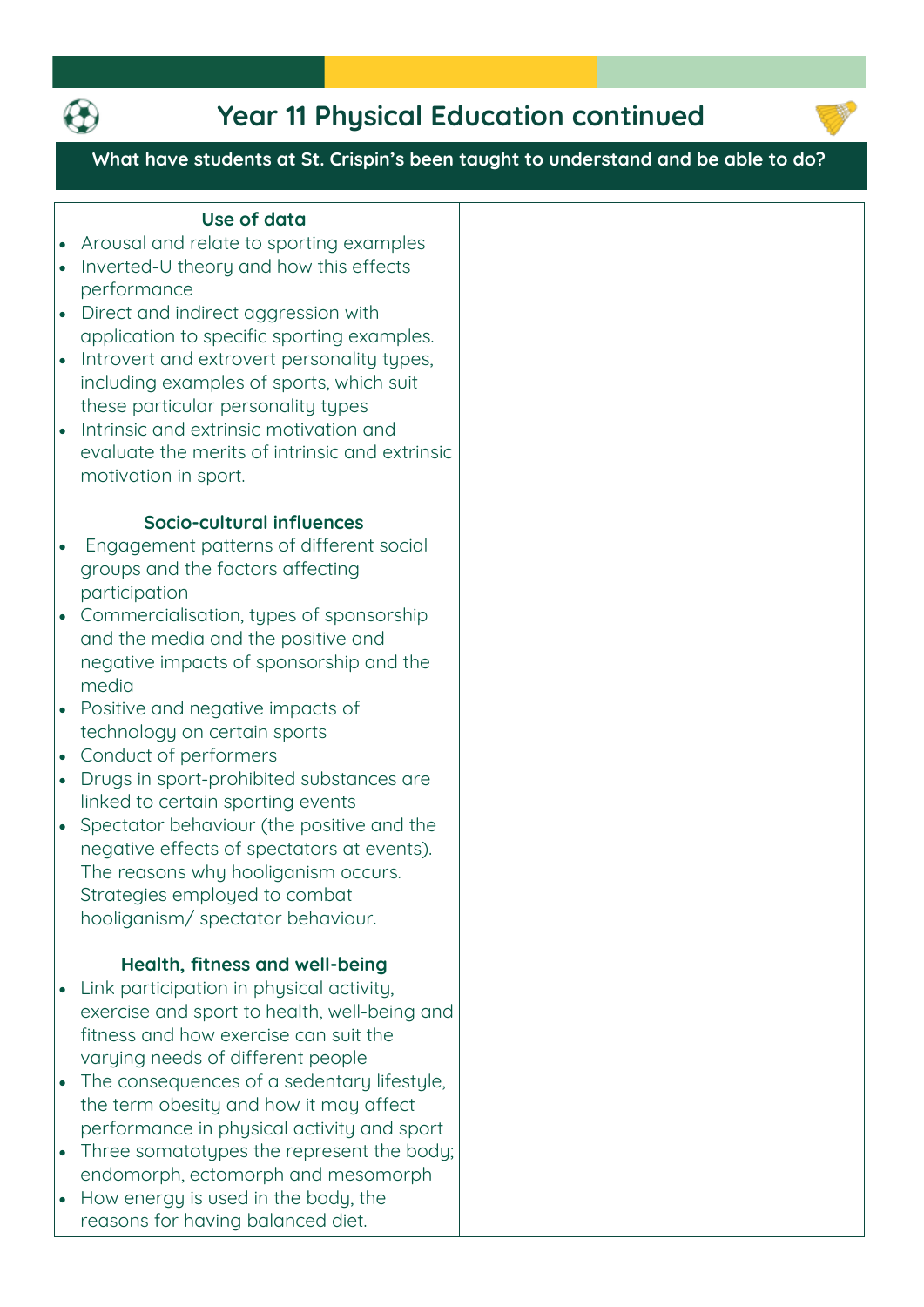

# **Year 11 Physical Education continued**



## **What have students at St. Crispin's been taught to understand and be able to do?**

### **Use of data**

- **Arousal and relate to sporting examples**
- **Inverted-U theory and how this effects performance**
- **Direct and indirect aggression with application to specific sporting examples.**
- **Introvert and extrovert personality types, including examples of sports, which suit these particular personality types**
- **Intrinsic and extrinsic motivation and evaluate the merits of intrinsic and extrinsic motivation in sport.**

#### **Socio-cultural influences**

- **Engagement patterns of different social groups and the factors affecting participation**
- **Commercialisation, types of sponsorship and the media and the positive and negative impacts of sponsorship and the media**
- **Positive and negative impacts of technology on certain sports**
- **Conduct of performers**
- **Drugs in sport-prohibited substances are linked to certain sporting events**
- **Spectator behaviour (the positive and the negative effects of spectators at events). The reasons why hooliganism occurs. Strategies employed to combat hooliganism/ spectator behaviour.**

## **Health, fitness and well-being**

- **Link participation in physical activity, exercise and sport to health, well-being and fitness and how exercise can suit the varying needs of different people**
- **The consequences of a sedentary lifestyle, the term obesity and how it may affect performance in physical activity and sport**
- **Three somatotypes the represent the body; endomorph, ectomorph and mesomorph**
- **How energy is used in the body, the reasons for having balanced diet.**